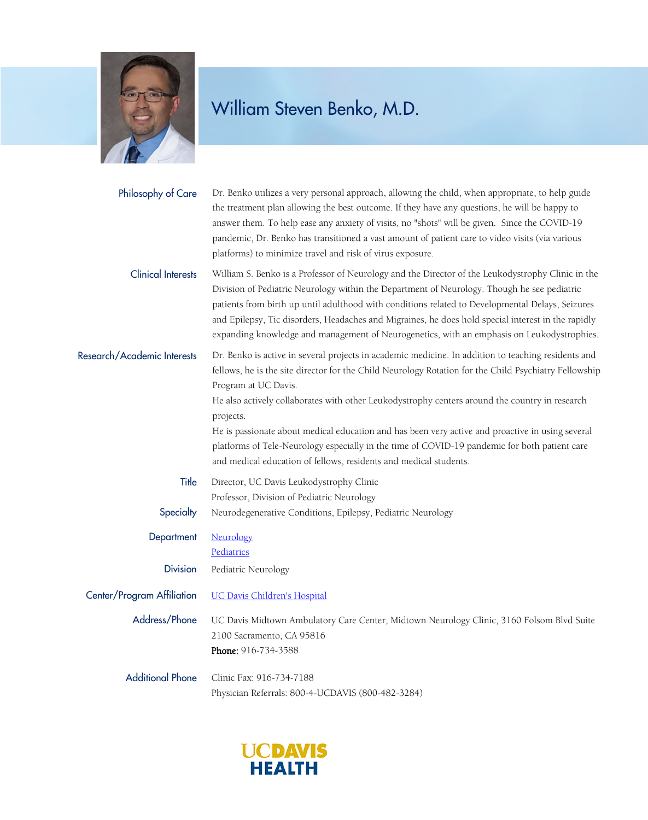

| Philosophy of Care          | Dr. Benko utilizes a very personal approach, allowing the child, when appropriate, to help guide<br>the treatment plan allowing the best outcome. If they have any questions, he will be happy to<br>answer them. To help ease any anxiety of visits, no "shots" will be given. Since the COVID-19<br>pandemic, Dr. Benko has transitioned a vast amount of patient care to video visits (via various<br>platforms) to minimize travel and risk of virus exposure.                                                                                                                                                            |
|-----------------------------|-------------------------------------------------------------------------------------------------------------------------------------------------------------------------------------------------------------------------------------------------------------------------------------------------------------------------------------------------------------------------------------------------------------------------------------------------------------------------------------------------------------------------------------------------------------------------------------------------------------------------------|
| <b>Clinical Interests</b>   | William S. Benko is a Professor of Neurology and the Director of the Leukodystrophy Clinic in the<br>Division of Pediatric Neurology within the Department of Neurology. Though he see pediatric<br>patients from birth up until adulthood with conditions related to Developmental Delays, Seizures<br>and Epilepsy, Tic disorders, Headaches and Migraines, he does hold special interest in the rapidly<br>expanding knowledge and management of Neurogenetics, with an emphasis on Leukodystrophies.                                                                                                                      |
| Research/Academic Interests | Dr. Benko is active in several projects in academic medicine. In addition to teaching residents and<br>fellows, he is the site director for the Child Neurology Rotation for the Child Psychiatry Fellowship<br>Program at UC Davis.<br>He also actively collaborates with other Leukodystrophy centers around the country in research<br>projects.<br>He is passionate about medical education and has been very active and proactive in using several<br>platforms of Tele-Neurology especially in the time of COVID-19 pandemic for both patient care<br>and medical education of fellows, residents and medical students. |
| Title                       | Director, UC Davis Leukodystrophy Clinic                                                                                                                                                                                                                                                                                                                                                                                                                                                                                                                                                                                      |
|                             | Professor, Division of Pediatric Neurology                                                                                                                                                                                                                                                                                                                                                                                                                                                                                                                                                                                    |
| Specialty                   | Neurodegenerative Conditions, Epilepsy, Pediatric Neurology                                                                                                                                                                                                                                                                                                                                                                                                                                                                                                                                                                   |
| Department                  | Neurology<br>Pediatrics                                                                                                                                                                                                                                                                                                                                                                                                                                                                                                                                                                                                       |
| <b>Division</b>             | Pediatric Neurology                                                                                                                                                                                                                                                                                                                                                                                                                                                                                                                                                                                                           |
| Center/Program Affiliation  | <b>UC Davis Children's Hospital</b>                                                                                                                                                                                                                                                                                                                                                                                                                                                                                                                                                                                           |
|                             | Address/Phone UC Davis Midtown Ambulatory Care Center, Midtown Neurology Clinic, 3160 Folsom Blvd Suite<br>2100 Sacramento, CA 95816<br>Phone: 916-734-3588                                                                                                                                                                                                                                                                                                                                                                                                                                                                   |
| <b>Additional Phone</b>     | Clinic Fax: 916-734-7188<br>Physician Referrals: 800-4-UCDAVIS (800-482-3284)                                                                                                                                                                                                                                                                                                                                                                                                                                                                                                                                                 |

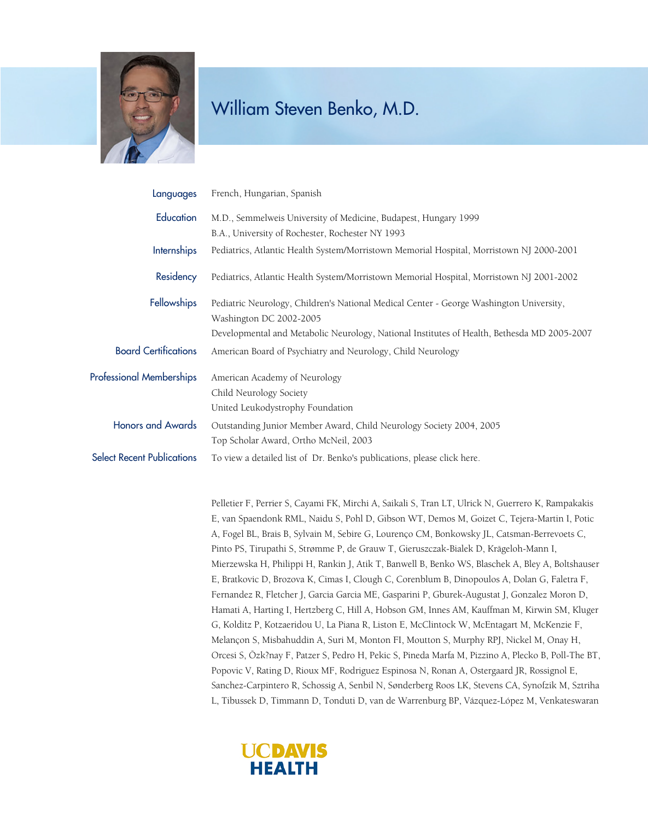

| Languages                         | French, Hungarian, Spanish                                                                                         |
|-----------------------------------|--------------------------------------------------------------------------------------------------------------------|
| Education                         | M.D., Semmelweis University of Medicine, Budapest, Hungary 1999                                                    |
|                                   | B.A., University of Rochester, Rochester NY 1993                                                                   |
| <b>Internships</b>                | Pediatrics, Atlantic Health System/Morristown Memorial Hospital, Morristown NJ 2000-2001                           |
| Residency                         | Pediatrics, Atlantic Health System/Morristown Memorial Hospital, Morristown NJ 2001-2002                           |
| <b>Fellowships</b>                | Pediatric Neurology, Children's National Medical Center - George Washington University,<br>Washington DC 2002-2005 |
|                                   | Developmental and Metabolic Neurology, National Institutes of Health, Bethesda MD 2005-2007                        |
| <b>Board Certifications</b>       | American Board of Psychiatry and Neurology, Child Neurology                                                        |
| <b>Professional Memberships</b>   | American Academy of Neurology                                                                                      |
|                                   | Child Neurology Society                                                                                            |
|                                   | United Leukodystrophy Foundation                                                                                   |
| <b>Honors and Awards</b>          | Outstanding Junior Member Award, Child Neurology Society 2004, 2005                                                |
|                                   | Top Scholar Award, Ortho McNeil, 2003                                                                              |
| <b>Select Recent Publications</b> | To view a detailed list of Dr. Benko's publications, please click here.                                            |

Pelletier F, Perrier S, Cayami FK, Mirchi A, Saikali S, Tran LT, Ulrick N, Guerrero K, Rampakakis E, van Spaendonk RML, Naidu S, Pohl D, Gibson WT, Demos M, Goizet C, Tejera-Martin I, Potic A, Fogel BL, Brais B, Sylvain M, Sebire G, Lourenço CM, Bonkowsky JL, Catsman-Berrevoets C, Pinto PS, Tirupathi S, Strømme P, de Grauw T, Gieruszczak-Bialek D, Krägeloh-Mann I, Mierzewska H, Philippi H, Rankin J, Atik T, Banwell B, Benko WS, Blaschek A, Bley A, Boltshauser E, Bratkovic D, Brozova K, Cimas I, Clough C, Corenblum B, Dinopoulos A, Dolan G, Faletra F, Fernandez R, Fletcher J, Garcia Garcia ME, Gasparini P, Gburek-Augustat J, Gonzalez Moron D, Hamati A, Harting I, Hertzberg C, Hill A, Hobson GM, Innes AM, Kauffman M, Kirwin SM, Kluger G, Kolditz P, Kotzaeridou U, La Piana R, Liston E, McClintock W, McEntagart M, McKenzie F, Melançon S, Misbahuddin A, Suri M, Monton FI, Moutton S, Murphy RPJ, Nickel M, Onay H, Orcesi S, Özk?nay F, Patzer S, Pedro H, Pekic S, Pineda Marfa M, Pizzino A, Plecko B, Poll-The BT, Popovic V, Rating D, Rioux MF, Rodriguez Espinosa N, Ronan A, Ostergaard JR, Rossignol E, Sanchez-Carpintero R, Schossig A, Senbil N, Sønderberg Roos LK, Stevens CA, Synofzik M, Sztriha L, Tibussek D, Timmann D, Tonduti D, van de Warrenburg BP, Vázquez-López M, Venkateswaran

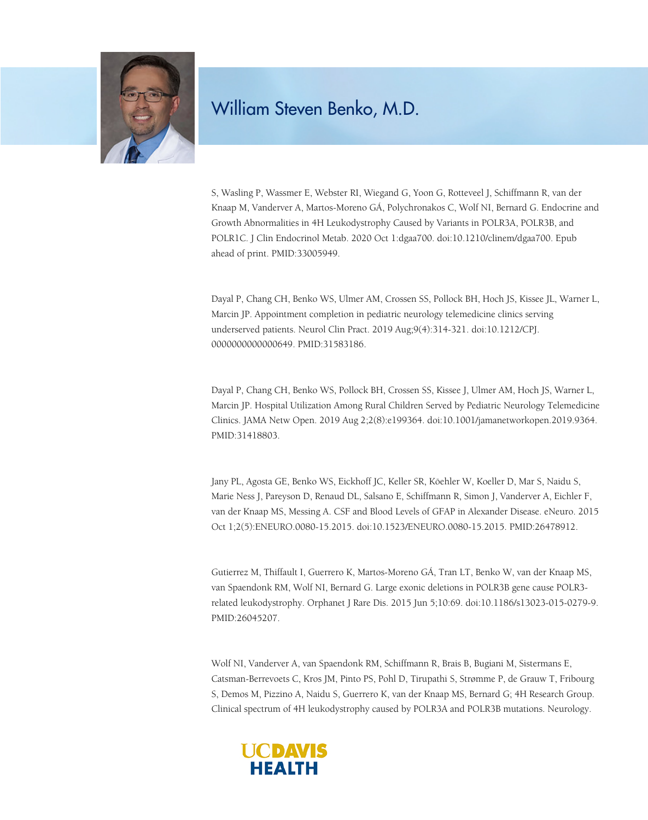

S, Wasling P, Wassmer E, Webster RI, Wiegand G, Yoon G, Rotteveel J, Schiffmann R, van der Knaap M, Vanderver A, Martos-Moreno GÁ, Polychronakos C, Wolf NI, Bernard G. Endocrine and Growth Abnormalities in 4H Leukodystrophy Caused by Variants in POLR3A, POLR3B, and POLR1C. J Clin Endocrinol Metab. 2020 Oct 1:dgaa700. doi:10.1210/clinem/dgaa700. Epub ahead of print. PMID:33005949.

Dayal P, Chang CH, Benko WS, Ulmer AM, Crossen SS, Pollock BH, Hoch JS, Kissee JL, Warner L, Marcin JP. Appointment completion in pediatric neurology telemedicine clinics serving underserved patients. Neurol Clin Pract. 2019 Aug;9(4):314-321. doi:10.1212/CPJ. 0000000000000649. PMID:31583186.

Dayal P, Chang CH, Benko WS, Pollock BH, Crossen SS, Kissee J, Ulmer AM, Hoch JS, Warner L, Marcin JP. Hospital Utilization Among Rural Children Served by Pediatric Neurology Telemedicine Clinics. JAMA Netw Open. 2019 Aug 2;2(8):e199364. doi:10.1001/jamanetworkopen.2019.9364. PMID:31418803.

Jany PL, Agosta GE, Benko WS, Eickhoff JC, Keller SR, Köehler W, Koeller D, Mar S, Naidu S, Marie Ness J, Pareyson D, Renaud DL, Salsano E, Schiffmann R, Simon J, Vanderver A, Eichler F, van der Knaap MS, Messing A. CSF and Blood Levels of GFAP in Alexander Disease. eNeuro. 2015 Oct 1;2(5):ENEURO.0080-15.2015. doi:10.1523/ENEURO.0080-15.2015. PMID:26478912.

Gutierrez M, Thiffault I, Guerrero K, Martos-Moreno GÁ, Tran LT, Benko W, van der Knaap MS, van Spaendonk RM, Wolf NI, Bernard G. Large exonic deletions in POLR3B gene cause POLR3 related leukodystrophy. Orphanet J Rare Dis. 2015 Jun 5;10:69. doi:10.1186/s13023-015-0279-9. PMID:26045207.

Wolf NI, Vanderver A, van Spaendonk RM, Schiffmann R, Brais B, Bugiani M, Sistermans E, Catsman-Berrevoets C, Kros JM, Pinto PS, Pohl D, Tirupathi S, Strømme P, de Grauw T, Fribourg S, Demos M, Pizzino A, Naidu S, Guerrero K, van der Knaap MS, Bernard G; 4H Research Group. Clinical spectrum of 4H leukodystrophy caused by POLR3A and POLR3B mutations. Neurology.